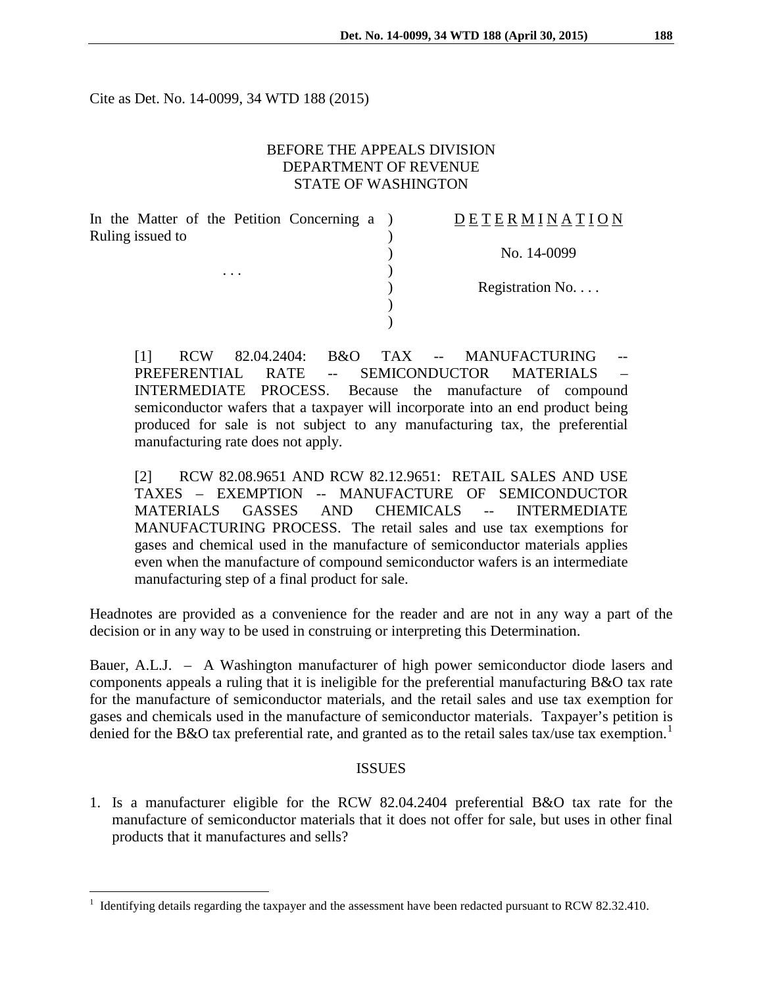Cite as Det. No. 14-0099, 34 WTD 188 (2015)

# BEFORE THE APPEALS DIVISION DEPARTMENT OF REVENUE STATE OF WASHINGTON

| In the Matter of the Petition Concerning a | DETERMINATIO     |
|--------------------------------------------|------------------|
| Ruling issued to                           |                  |
|                                            | No. 14-0099      |
| $\cdots$                                   |                  |
|                                            | Registration No. |
|                                            |                  |
|                                            |                  |

[1] RCW 82.04.2404: B&O TAX -- MANUFACTURING PREFERENTIAL RATE -- SEMICONDUCTOR MATERIALS – INTERMEDIATE PROCESS. Because the manufacture of compound semiconductor wafers that a taxpayer will incorporate into an end product being produced for sale is not subject to any manufacturing tax, the preferential manufacturing rate does not apply.

[2] RCW 82.08.9651 AND RCW 82.12.9651: RETAIL SALES AND USE TAXES – EXEMPTION -- MANUFACTURE OF SEMICONDUCTOR MATERIALS GASSES AND CHEMICALS -- INTERMEDIATE MANUFACTURING PROCESS. The retail sales and use tax exemptions for gases and chemical used in the manufacture of semiconductor materials applies even when the manufacture of compound semiconductor wafers is an intermediate manufacturing step of a final product for sale.

Headnotes are provided as a convenience for the reader and are not in any way a part of the decision or in any way to be used in construing or interpreting this Determination.

Bauer, A.L.J. – A Washington manufacturer of high power semiconductor diode lasers and components appeals a ruling that it is ineligible for the preferential manufacturing B&O tax rate for the manufacture of semiconductor materials, and the retail sales and use tax exemption for gases and chemicals used in the manufacture of semiconductor materials. Taxpayer's petition is denied for the B&O tax preferential rate, and granted as to the retail sales tax/use tax exemption.<sup>[1](#page-0-0)</sup>

#### ISSUES

1. Is a manufacturer eligible for the RCW 82.04.2404 preferential B&O tax rate for the manufacture of semiconductor materials that it does not offer for sale, but uses in other final products that it manufactures and sells?

 $\overline{a}$ 

A T I O N

<span id="page-0-0"></span><sup>&</sup>lt;sup>1</sup> Identifying details regarding the taxpayer and the assessment have been redacted pursuant to RCW 82.32.410.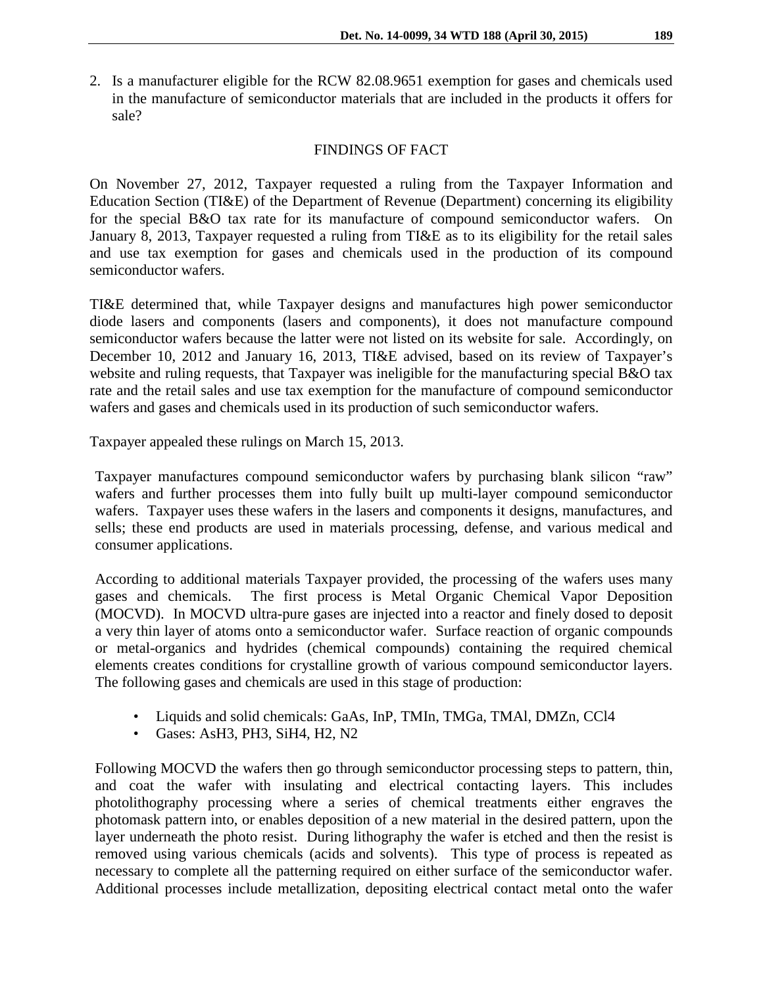2. Is a manufacturer eligible for the RCW 82.08.9651 exemption for gases and chemicals used in the manufacture of semiconductor materials that are included in the products it offers for sale?

### FINDINGS OF FACT

On November 27, 2012, Taxpayer requested a ruling from the Taxpayer Information and Education Section (TI&E) of the Department of Revenue (Department) concerning its eligibility for the special B&O tax rate for its manufacture of compound semiconductor wafers. On January 8, 2013, Taxpayer requested a ruling from TI&E as to its eligibility for the retail sales and use tax exemption for gases and chemicals used in the production of its compound semiconductor wafers.

TI&E determined that, while Taxpayer designs and manufactures high power semiconductor diode lasers and components (lasers and components), it does not manufacture compound semiconductor wafers because the latter were not listed on its website for sale. Accordingly, on December 10, 2012 and January 16, 2013, TI&E advised, based on its review of Taxpayer's website and ruling requests, that Taxpayer was ineligible for the manufacturing special B&O tax rate and the retail sales and use tax exemption for the manufacture of compound semiconductor wafers and gases and chemicals used in its production of such semiconductor wafers.

Taxpayer appealed these rulings on March 15, 2013.

Taxpayer manufactures compound semiconductor wafers by purchasing blank silicon "raw" wafers and further processes them into fully built up multi-layer compound semiconductor wafers. Taxpayer uses these wafers in the lasers and components it designs, manufactures, and sells; these end products are used in materials processing, defense, and various medical and consumer applications.

According to additional materials Taxpayer provided, the processing of the wafers uses many gases and chemicals. The first process is Metal Organic Chemical Vapor Deposition (MOCVD). In MOCVD ultra-pure gases are injected into a reactor and finely dosed to deposit a very thin layer of atoms onto a semiconductor wafer. Surface reaction of organic compounds or metal-organics and hydrides (chemical compounds) containing the required chemical elements creates conditions for crystalline growth of various compound semiconductor layers. The following gases and chemicals are used in this stage of production:

- Liquids and solid chemicals: GaAs, InP, TMIn, TMGa, TMAl, DMZn, CCl4
- Gases: AsH3, PH3, SiH4, H2, N2

Following MOCVD the wafers then go through semiconductor processing steps to pattern, thin, and coat the wafer with insulating and electrical contacting layers. This includes photolithography processing where a series of chemical treatments either engraves the photomask pattern into, or enables deposition of a new material in the desired pattern, upon the layer underneath the photo resist. During lithography the wafer is etched and then the resist is removed using various chemicals (acids and solvents). This type of process is repeated as necessary to complete all the patterning required on either surface of the semiconductor wafer. Additional processes include metallization, depositing electrical contact metal onto the wafer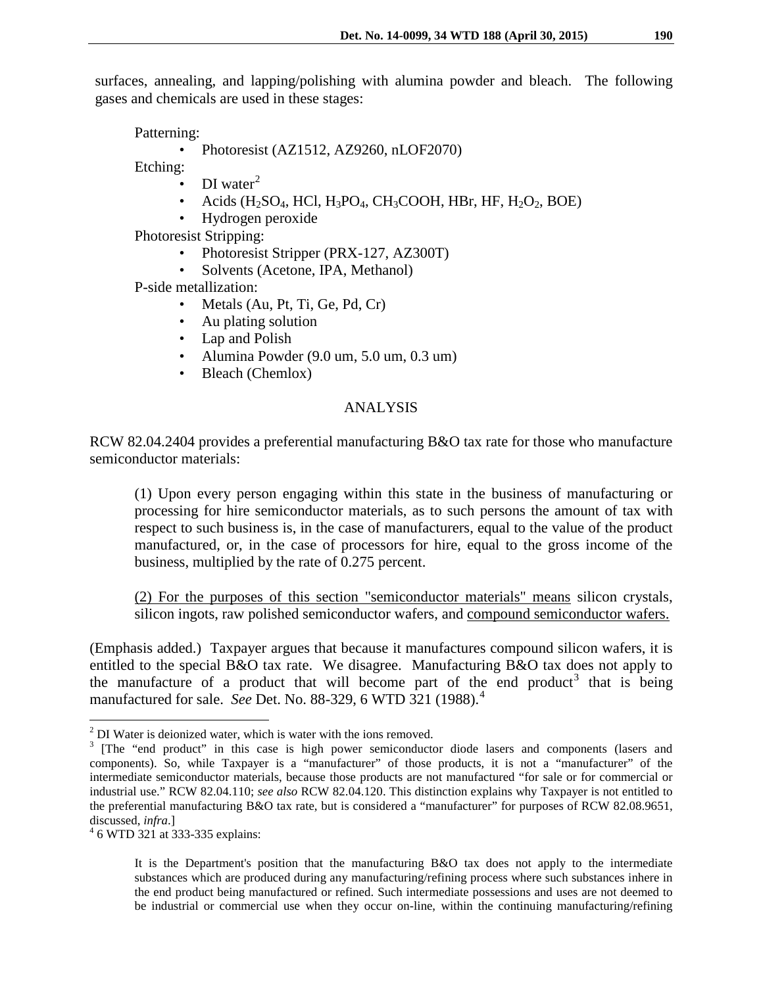surfaces, annealing, and lapping/polishing with alumina powder and bleach. The following gases and chemicals are used in these stages:

Patterning:

• Photoresist (AZ1512, AZ9260, nLOF2070)

Etching:

- DI water<sup>[2](#page-2-0)</sup>
- Acids  $(H_2SO_4, HCl, H_3PO_4, CH_3COOH, HBr, HF, H_2O_2, BOE)$
- Hydrogen peroxide

Photoresist Stripping:

- Photoresist Stripper (PRX-127, AZ300T)
- Solvents (Acetone, IPA, Methanol)

P-side metallization:

- Metals (Au, Pt, Ti, Ge, Pd, Cr)
- Au plating solution
- Lap and Polish
- Alumina Powder (9.0 um, 5.0 um, 0.3 um)
- Bleach (Chemlox)

## ANALYSIS

RCW 82.04.2404 provides a preferential manufacturing B&O tax rate for those who manufacture semiconductor materials:

(1) Upon every person engaging within this state in the business of manufacturing or processing for hire semiconductor materials, as to such persons the amount of tax with respect to such business is, in the case of manufacturers, equal to the value of the product manufactured, or, in the case of processors for hire, equal to the gross income of the business, multiplied by the rate of 0.275 percent.

(2) For the purposes of this section "semiconductor materials" means silicon crystals, silicon ingots, raw polished semiconductor wafers, and compound semiconductor wafers.

(Emphasis added.) Taxpayer argues that because it manufactures compound silicon wafers, it is entitled to the special B&O tax rate. We disagree. Manufacturing B&O tax does not apply to the manufacture of a product that will become part of the end product<sup>[3](#page-2-1)</sup> that is being manufactured for sale. *See* Det. No. 88-329, 6 WTD 321 (1988).[4](#page-2-2)

<span id="page-2-2"></span>

It is the Department's position that the manufacturing B&O tax does not apply to the intermediate substances which are produced during any manufacturing/refining process where such substances inhere in the end product being manufactured or refined. Such intermediate possessions and uses are not deemed to be industrial or commercial use when they occur on-line, within the continuing manufacturing/refining

 $2$  DI Water is deionized water, which is water with the ions removed.  $\overline{a}$ 

<span id="page-2-1"></span><span id="page-2-0"></span><sup>&</sup>lt;sup>3</sup> [The "end product" in this case is high power semiconductor diode lasers and components (lasers and components). So, while Taxpayer is a "manufacturer" of those products, it is not a "manufacturer" of the intermediate semiconductor materials, because those products are not manufactured "for sale or for commercial or industrial use." RCW 82.04.110; *see also* RCW 82.04.120. This distinction explains why Taxpayer is not entitled to the preferential manufacturing B&O tax rate, but is considered a "manufacturer" for purposes of RCW 82.08.9651, discussed, *infra*.] <sup>4</sup> 6 WTD 321 at 333-335 explains: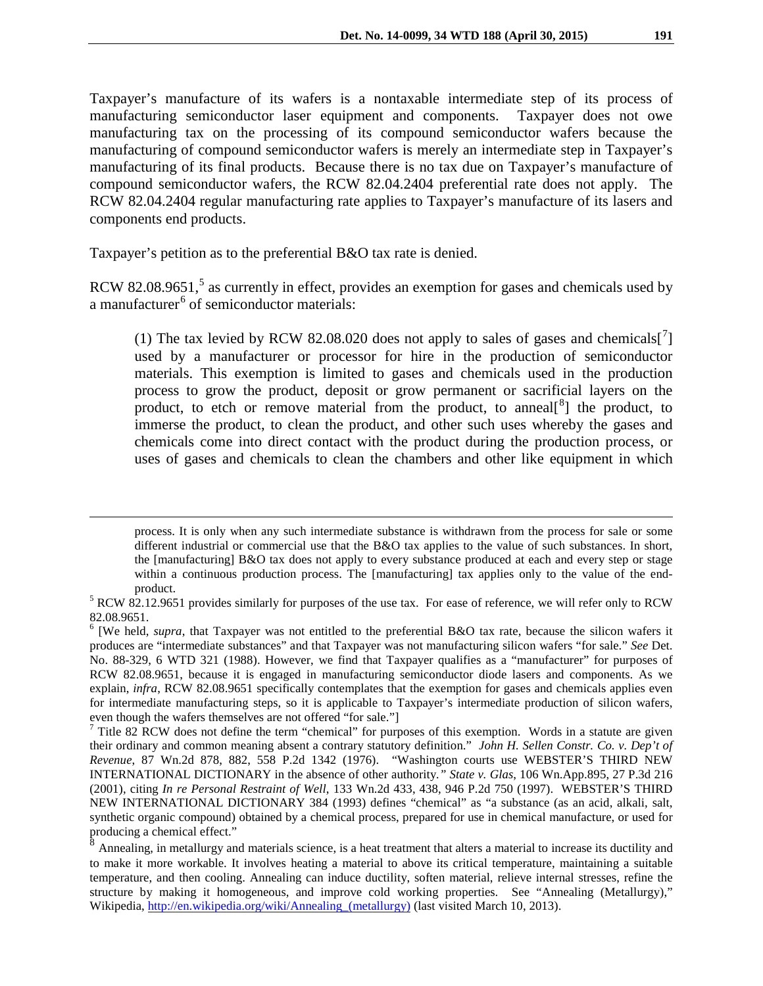Taxpayer's manufacture of its wafers is a nontaxable intermediate step of its process of manufacturing semiconductor laser equipment and components. Taxpayer does not owe manufacturing tax on the processing of its compound semiconductor wafers because the manufacturing of compound semiconductor wafers is merely an intermediate step in Taxpayer's manufacturing of its final products. Because there is no tax due on Taxpayer's manufacture of compound semiconductor wafers, the RCW 82.04.2404 preferential rate does not apply. The RCW 82.04.2404 regular manufacturing rate applies to Taxpayer's manufacture of its lasers and components end products.

Taxpayer's petition as to the preferential B&O tax rate is denied.

 $\overline{a}$ 

RCW 82.08.96[5](#page-3-0)1, $5$  as currently in effect, provides an exemption for gases and chemicals used by a manufacturer<sup> $6$ </sup> of semiconductor materials:

(1) The tax levied by RCW 82.08.020 does not apply to sales of gases and chemicals[ $^7$  $^7$ ] used by a manufacturer or processor for hire in the production of semiconductor materials. This exemption is limited to gases and chemicals used in the production process to grow the product, deposit or grow permanent or sacrificial layers on the product, to etch or remove material from the product, to anneal<sup>[[8](#page-3-3)</sup>] the product, to immerse the product, to clean the product, and other such uses whereby the gases and chemicals come into direct contact with the product during the production process, or uses of gases and chemicals to clean the chambers and other like equipment in which

process. It is only when any such intermediate substance is withdrawn from the process for sale or some different industrial or commercial use that the B&O tax applies to the value of such substances. In short, the [manufacturing] B&O tax does not apply to every substance produced at each and every step or stage within a continuous production process. The [manufacturing] tax applies only to the value of the end-

<span id="page-3-0"></span>product.<br><sup>5</sup> RCW 82.12.9651 provides similarly for purposes of the use tax. For ease of reference, we will refer only to RCW 82.08.9651.

<span id="page-3-1"></span><sup>&</sup>lt;sup>6</sup> [We held, *supra*, that Taxpayer was not entitled to the preferential B&O tax rate, because the silicon wafers it produces are "intermediate substances" and that Taxpayer was not manufacturing silicon wafers "for sale." *See* Det. No. 88-329, 6 WTD 321 (1988). However, we find that Taxpayer qualifies as a "manufacturer" for purposes of RCW 82.08.9651, because it is engaged in manufacturing semiconductor diode lasers and components. As we explain, *infra*, RCW 82.08.9651 specifically contemplates that the exemption for gases and chemicals applies even for intermediate manufacturing steps, so it is applicable to Taxpayer's intermediate production of silicon wafers, even though the wafers themselves are not offered "for sale."]

<span id="page-3-2"></span><sup>&</sup>lt;sup>7</sup> Title 82 RCW does not define the term "chemical" for purposes of this exemption. Words in a statute are given their ordinary and common meaning absent a contrary statutory definition." *John H. Sellen Constr. Co. v. Dep't of Revenue*, 87 Wn.2d 878, 882, 558 P.2d 1342 (1976). "Washington courts use WEBSTER'S THIRD NEW INTERNATIONAL DICTIONARY in the absence of other authority*." State v. Glas*, 106 Wn.App.895, 27 P.3d 216 (2001), citing *In re Personal Restraint of Well*, 133 Wn.2d 433, 438, 946 P.2d 750 (1997). WEBSTER'S THIRD NEW INTERNATIONAL DICTIONARY 384 (1993) defines "chemical" as "a substance (as an acid, alkali, salt, synthetic organic compound) obtained by a chemical process, prepared for use in chemical manufacture, or used for producing a chemical effect."

<span id="page-3-3"></span><sup>&</sup>lt;sup>8</sup> Annealing, in metallurgy and materials science, is a heat treatment that alters a material to increase its ductility and to make it more workable. It involves heating a material to above its critical temperature, maintaining a suitable temperature, and then cooling. Annealing can induce ductility, soften material, relieve internal stresses, refine the structure by making it homogeneous, and improve cold working properties. See "Annealing (Metallurgy)," Wikipedia, http://en.wikipedia.org/wiki/Annealing (metallurgy) (last visited March 10, 2013).